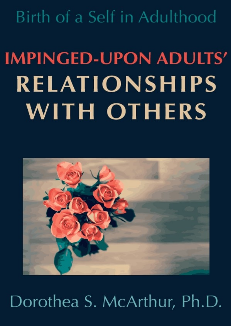Birth of a Self in Adulthood

# **IMPINGED-UPON ADULTS' RELATIONSHIPS WITH OTHERS**



# Dorothea S. McArthur, Ph.D.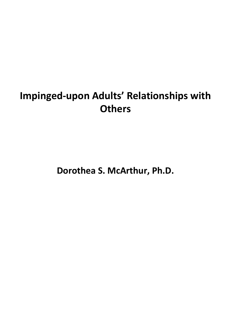# **Impinged-upon Adults' Relationships with Others**

**Dorothea S. McArthur, Ph.D.**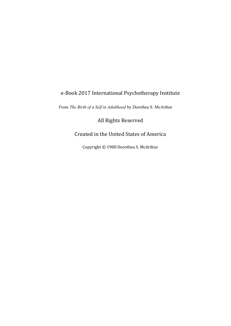#### e-Book 2017 International Psychotherapy Institute

From *The Birth of a Self in Adulthood* by Dorothea S. McArthur

All Rights Reserved

#### Created in the United States of America

Copyright © 1988 Dorothea S. McArthur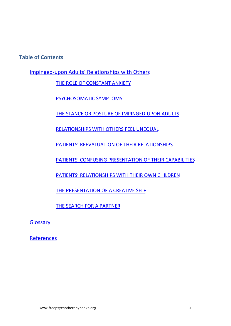**Table of Contents** 

[Impinged-upon Adults' Relationships with Others](#page-4-0)

THE ROLE OF CONSTANT ANXIETY

PSYCHOSOMATIC SYMPTOMS

THE STANCE OR POSTURE OF IMPINGED-UPON ADULTS

RELATIONSHIPS WITH OTHERS FEEL UNEQUAL

PATIENTS' REEVALUATION OF THEIR RELATIONSHIPS

PATIENTS' CONFUSING PRESENTATION OF THEIR CAPABILITIES

PATIENTS' RELATIONSHIPS WITH THEIR OWN CHILDREN

THE PRESENTATION OF A CREATIVE SELF

THE SEARCH FOR A PARTNER

[Glossary](#page-18-0)

[References](#page-21-0)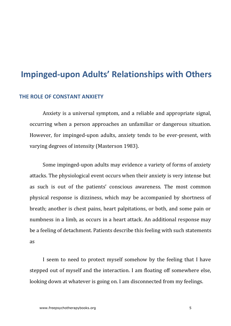### <span id="page-4-0"></span>**Impinged-upon Adults' Relationships with Others**

#### <span id="page-4-1"></span>**THE ROLE OF CONSTANT ANXIETY**

Anxiety is a universal symptom, and a reliable and appropriate signal, occurring when a person approaches an unfamiliar or dangerous situation. However, for impinged-upon adults, anxiety tends to be ever-present, with varying degrees of intensity (Masterson 1983).

Some impinged-upon adults may evidence a variety of forms of anxiety attacks. The physiological event occurs when their anxiety is very intense but as such is out of the patients' conscious awareness. The most common physical response is dizziness, which may be accompanied by shortness of breath; another is chest pains, heart palpitations, or both, and some pain or numbness in a limb, as occurs in a heart attack. An additional response may be a feeling of detachment. Patients describe this feeling with such statements as

I seem to need to protect myself somehow by the feeling that I have stepped out of myself and the interaction. I am floating off somewhere else, looking down at whatever is going on. I am disconnected from my feelings.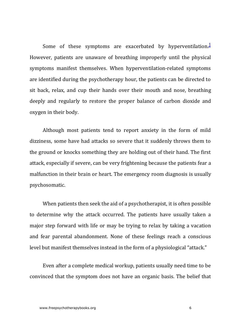<span id="page-5-0"></span>Some of these symptoms are exacerbated by hyperventilation. $\frac{1}{2}$  $\frac{1}{2}$  $\frac{1}{2}$ However, patients are unaware of breathing improperly until the physical symptoms manifest themselves. When hyperventilation-related symptoms are identified during the psychotherapy hour, the patients can be directed to sit back, relax, and cup their hands over their mouth and nose, breathing deeply and regularly to restore the proper balance of carbon dioxide and oxygen in their body.

Although most patients tend to report anxiety in the form of mild dizziness, some have had attacks so severe that it suddenly throws them to the ground or knocks something they are holding out of their hand. The first attack, especially if severe, can be very frightening because the patients fear a malfunction in their brain or heart. The emergency room diagnosis is usually psychosomatic.

When patients then seek the aid of a psychotherapist, it is often possible to determine why the attack occurred. The patients have usually taken a major step forward with life or may be trying to relax by taking a vacation and fear parental abandonment. None of these feelings reach a conscious level but manifest themselves instead in the form of a physiological "attack."

Even after a complete medical workup, patients usually need time to be convinced that the symptom does not have an organic basis. The belief that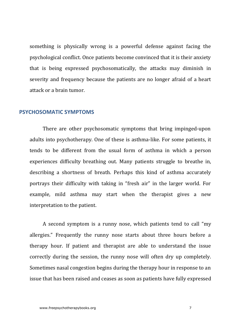something is physically wrong is a powerful defense against facing the psychological conflict. Once patients become convinced that it is their anxiety that is being expressed psychosomatically, the attacks may diminish in severity and frequency because the patients are no longer afraid of a heart attack or a brain tumor.

#### <span id="page-6-0"></span>**PSYCHOSOMATIC SYMPTOMS**

There are other psychosomatic symptoms that bring impinged-upon adults into psychotherapy. One of these is asthma-like. For some patients, it tends to be different from the usual form of asthma in which a person experiences difficulty breathing out. Many patients struggle to breathe in. describing a shortness of breath. Perhaps this kind of asthma accurately portrays their difficulty with taking in "fresh air" in the larger world. For example, mild asthma may start when the therapist gives a new interpretation to the patient.

A second symptom is a runny nose, which patients tend to call "my allergies." Frequently the runny nose starts about three hours before a therapy hour. If patient and therapist are able to understand the issue correctly during the session, the runny nose will often dry up completely. Sometimes nasal congestion begins during the therapy hour in response to an issue that has been raised and ceases as soon as patients have fully expressed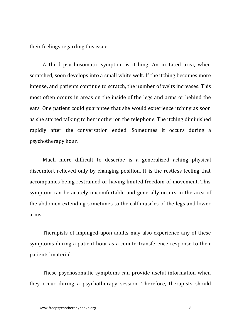their feelings regarding this issue.

A third psychosomatic symptom is itching. An irritated area, when scratched, soon develops into a small white welt. If the itching becomes more intense, and patients continue to scratch, the number of welts increases. This most often occurs in areas on the inside of the legs and arms or behind the ears. One patient could guarantee that she would experience itching as soon as she started talking to her mother on the telephone. The itching diminished rapidly after the conversation ended. Sometimes it occurs during a psychotherapy hour.

Much more difficult to describe is a generalized aching physical discomfort relieved only by changing position. It is the restless feeling that accompanies being restrained or having limited freedom of movement. This symptom can be acutely uncomfortable and generally occurs in the area of the abdomen extending sometimes to the calf muscles of the legs and lower arms.

Therapists of impinged-upon adults may also experience any of these symptoms during a patient hour as a countertransference response to their patients' material.

These psychosomatic symptoms can provide useful information when they occur during a psychotherapy session. Therefore, therapists should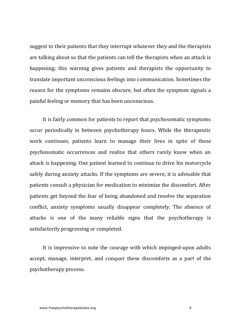suggest to their patients that they interrupt whatever they and the therapists are talking about so that the patients can tell the therapists when an attack is happening; this warning gives patients and therapists the opportunity to translate important unconscious feelings into communication. Sometimes the reason for the symptoms remains obscure, but often the symptom signals a painful feeling or memory that has been unconscious.

It is fairly common for patients to report that psychosomatic symptoms occur periodically in between psychotherapy hours. While the therapeutic work continues, patients learn to manage their lives in spite of these psychosomatic occurrences and realize that others rarely know when an attack is happening. One patient learned to continue to drive his motorcycle safely during anxiety attacks. If the symptoms are severe, it is advisable that patients consult a physician for medication to minimize the discomfort. After patients get beyond the fear of being abandoned and resolve the separation conflict, anxiety symptoms usually disappear completely. The absence of attacks is one of the many reliable signs that the psychotherapy is satisfactorily progressing or completed.

It is impressive to note the courage with which impinged-upon adults accept, manage, interpret, and conquer these discomforts as a part of the psychotherapy process.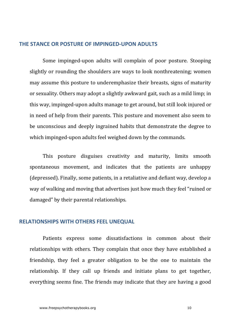#### <span id="page-9-0"></span>**THE STANCE OR POSTURE OF IMPINGED-UPON ADULTS**

Some impinged-upon adults will complain of poor posture. Stooping slightly or rounding the shoulders are ways to look nonthreatening; women may assume this posture to underemphasize their breasts, signs of maturity or sexuality. Others may adopt a slightly awkward gait, such as a mild limp; in this way, impinged-upon adults manage to get around, but still look injured or in need of help from their parents. This posture and movement also seem to be unconscious and deeply ingrained habits that demonstrate the degree to which impinged-upon adults feel weighed down by the commands.

This posture disguises creativity and maturity, limits smooth spontaneous movement, and indicates that the patients are unhappy (depressed). Finally, some patients, in a retaliative and defiant way, develop a way of walking and moving that advertises just how much they feel "ruined or damaged" by their parental relationships.

#### <span id="page-9-1"></span>**RELATIONSHIPS WITH OTHERS FEEL UNEQUAL**

Patients express some dissatisfactions in common about their relationships with others. They complain that once they have established a friendship, they feel a greater obligation to be the one to maintain the relationship. If they call up friends and initiate plans to get together, everything seems fine. The friends may indicate that they are having a good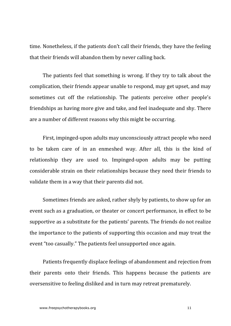time. Nonetheless, if the patients don't call their friends, they have the feeling that their friends will abandon them by never calling back.

The patients feel that something is wrong. If they try to talk about the complication, their friends appear unable to respond, may get upset, and may sometimes cut off the relationship. The patients perceive other people's friendships as having more give and take, and feel inadequate and shy. There are a number of different reasons why this might be occurring.

First, impinged-upon adults may unconsciously attract people who need to be taken care of in an enmeshed way. After all, this is the kind of relationship they are used to. Impinged-upon adults may be putting considerable strain on their relationships because they need their friends to validate them in a way that their parents did not.

Sometimes friends are asked, rather shyly by patients, to show up for an event such as a graduation, or theater or concert performance, in effect to be supportive as a substitute for the patients' parents. The friends do not realize the importance to the patients of supporting this occasion and may treat the event "too casually." The patients feel unsupported once again.

Patients frequently displace feelings of abandonment and rejection from their parents onto their friends. This happens because the patients are oversensitive to feeling disliked and in turn may retreat prematurely.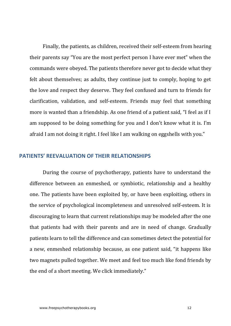Finally, the patients, as children, received their self-esteem from hearing their parents say "You are the most perfect person I have ever met" when the commands were obeyed. The patients therefore never got to decide what they felt about themselves; as adults, they continue just to comply, hoping to get the love and respect they deserve. They feel confused and turn to friends for clarification, validation, and self-esteem. Friends may feel that something more is wanted than a friendship. As one friend of a patient said, "I feel as if I am supposed to be doing something for you and I don't know what it is. I'm afraid I am not doing it right. I feel like I am walking on eggshells with you."

#### <span id="page-11-0"></span>**PATIENTS' REEVALUATION OF THEIR RELATIONSHIPS**

During the course of psychotherapy, patients have to understand the difference between an enmeshed, or symbiotic, relationship and a healthy one. The patients have been exploited by, or have been exploiting, others in the service of psychological incompleteness and unresolved self-esteem. It is discouraging to learn that current relationships may be modeled after the one that patients had with their parents and are in need of change. Gradually patients learn to tell the difference and can sometimes detect the potential for a new, enmeshed relationship because, as one patient said, "it happens like two magnets pulled together. We meet and feel too much like fond friends by the end of a short meeting. We click immediately."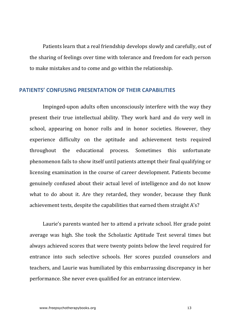Patients learn that a real friendship develops slowly and carefully, out of the sharing of feelings over time with tolerance and freedom for each person to make mistakes and to come and go within the relationship.

#### <span id="page-12-0"></span>**PATIENTS' CONFLISING PRESENTATION OF THEIR CAPABILITIES**

Impinged-upon adults often unconsciously interfere with the way they present their true intellectual ability. They work hard and do very well in school, appearing on honor rolls and in honor societies. However, they experience difficulty on the aptitude and achievement tests required throughout the educational process. Sometimes this unfortunate phenomenon fails to show itself until patients attempt their final qualifying or licensing examination in the course of career development. Patients become genuinely confused about their actual level of intelligence and do not know what to do about it. Are they retarded, they wonder, because they flunk achievement tests, despite the capabilities that earned them straight A's?

Laurie's parents wanted her to attend a private school. Her grade point average was high. She took the Scholastic Aptitude Test several times but always achieved scores that were twenty points below the level required for entrance into such selective schools. Her scores puzzled counselors and teachers, and Laurie was humiliated by this embarrassing discrepancy in her performance. She never even qualified for an entrance interview.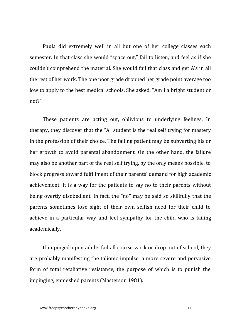Paula did extremely well in all but one of her college classes each semester. In that class she would "space out," fail to listen, and feel as if she couldn't comprehend the material. She would fail that class and get A's in all the rest of her work. The one poor grade dropped her grade point average too low to apply to the best medical schools. She asked, "Am I a bright student or not?"

These patients are acting out, oblivious to underlying feelings. In therapy, they discover that the "A" student is the real self trying for mastery in the profession of their choice. The failing patient may be subverting his or her growth to avoid parental abandonment. On the other hand, the failure may also be another part of the real self trying, by the only means possible, to block progress toward fulfillment of their parents' demand for high academic achievement. It is a way for the patients to say no to their parents without being overtly disobedient. In fact, the "no" may be said so skillfully that the parents sometimes lose sight of their own selfish need for their child to achieve in a particular way and feel sympathy for the child who is failing academically.

If impinged-upon adults fail all course work or drop out of school, they are probably manifesting the talionic impulse, a more severe and pervasive form of total retaliative resistance, the purpose of which is to punish the impinging, enmeshed parents (Masterson 1981).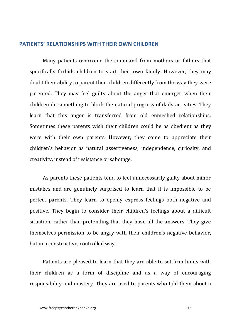#### <span id="page-14-0"></span>**PATIENTS' RELATIONSHIPS WITH THEIR OWN CHILDREN**

Many patients overcome the command from mothers or fathers that specifically forbids children to start their own family. However, they may doubt their ability to parent their children differently from the way they were parented. They may feel guilty about the anger that emerges when their children do something to block the natural progress of daily activities. They learn that this anger is transferred from old enmeshed relationships. Sometimes these parents wish their children could be as obedient as they were with their own parents. However, they come to appreciate their children's behavior as natural assertiveness, independence, curiosity, and creativity, instead of resistance or sabotage.

As parents these patients tend to feel unnecessarily guilty about minor mistakes and are genuinely surprised to learn that it is impossible to be perfect parents. They learn to openly express feelings both negative and positive. They begin to consider their children's feelings about a difficult situation, rather than pretending that they have all the answers. They give themselves permission to be angry with their children's negative behavior, but in a constructive, controlled way.

Patients are pleased to learn that they are able to set firm limits with their children as a form of discipline and as a way of encouraging responsibility and mastery. They are used to parents who told them about a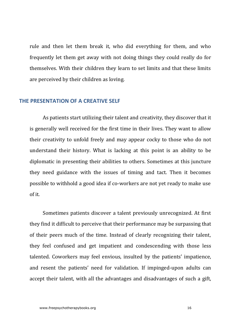rule and then let them break it, who did everything for them, and who frequently let them get away with not doing things they could really do for themselves. With their children they learn to set limits and that these limits are perceived by their children as loving.

#### <span id="page-15-0"></span>**THE PRESENTATION OF A CREATIVE SELF**

As patients start utilizing their talent and creativity, they discover that it is generally well received for the first time in their lives. They want to allow their creativity to unfold freely and may appear cocky to those who do not understand their history. What is lacking at this point is an ability to be diplomatic in presenting their abilities to others. Sometimes at this juncture they need guidance with the issues of timing and tact. Then it becomes possible to withhold a good idea if co-workers are not vet ready to make use of it.

Sometimes patients discover a talent previously unrecognized. At first they find it difficult to perceive that their performance may be surpassing that of their peers much of the time. Instead of clearly recognizing their talent, they feel confused and get impatient and condescending with those less talented. Coworkers may feel envious, insulted by the patients' impatience, and resent the patients' need for validation. If impinged-upon adults can accept their talent, with all the advantages and disadvantages of such a gift.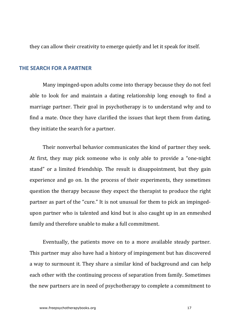they can allow their creativity to emerge quietly and let it speak for itself.

#### <span id="page-16-0"></span>**THE SEARCH FOR A PARTNER**

Many impinged-upon adults come into therapy because they do not feel able to look for and maintain a dating relationship long enough to find a marriage partner. Their goal in psychotherapy is to understand why and to find a mate. Once they have clarified the issues that kept them from dating, they initiate the search for a partner.

Their nonverbal behavior communicates the kind of partner they seek. At first, they may pick someone who is only able to provide a "one-night stand" or a limited friendship. The result is disappointment, but they gain experience and go on. In the process of their experiments, they sometimes question the therapy because they expect the therapist to produce the right partner as part of the "cure." It is not unusual for them to pick an impingedupon partner who is talented and kind but is also caught up in an enmeshed family and therefore unable to make a full commitment.

Eventually, the patients move on to a more available steady partner. This partner may also have had a history of impingement but has discovered a way to surmount it. They share a similar kind of background and can help each other with the continuing process of separation from family. Sometimes the new partners are in need of psychotherapy to complete a commitment to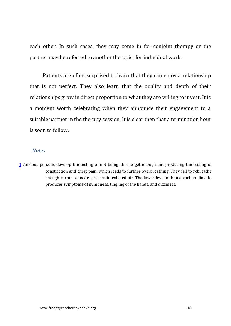each other. In such cases, they may come in for conjoint therapy or the partner may be referred to another therapist for individual work.

Patients are often surprised to learn that they can enjoy a relationship that is not perfect. They also learn that the quality and depth of their relationships grow in direct proportion to what they are willing to invest. It is a moment worth celebrating when they announce their engagement to a suitable partner in the therapy session. It is clear then that a termination hour is soon to follow.

#### *Notes*

<span id="page-17-0"></span>[1](#page-5-0) Anxious persons develop the feeling of not being able to get enough air, producing the feeling of constriction and chest pain, which leads to further overbreathing. They fail to rebreathe enough carbon dioxide, present in exhaled air. The lower level of blood carbon dioxide produces symptoms of numbness, tingling of the hands, and dizziness.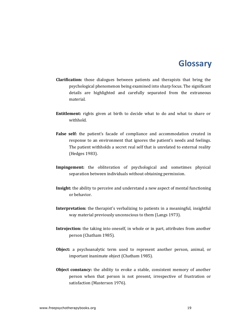## **Glossary**

- <span id="page-18-0"></span>**Clarification:** those dialogues between patients and therapists that bring the psychological phenomenon being examined into sharp focus. The significant details are highlighted and carefully separated from the extraneous material.
- **Entitlement:** rights given at birth to decide what to do and what to share or withhold.
- False self: the patient's facade of compliance and accommodation created in response to an environment that ignores the patient's needs and feelings. The patient withholds a secret real self that is unrelated to external reality (Hedges 1983).
- **Impingement:** the obliteration of psychological and sometimes physical separation between individuals without obtaining permission.
- **Insight:** the ability to perceive and understand a new aspect of mental functioning or behavior.
- **Interpretation:** the therapist's verbalizing to patients in a meaningful, insightful way material previously unconscious to them (Langs 1973).
- **Introjection:** the taking into oneself, in whole or in part, attributes from another person (Chatham 1985).
- **Object:** a psychoanalytic term used to represent another person, animal, or important inanimate object (Chatham 1985).
- **Object constancy:** the ability to evoke a stable, consistent memory of another person when that person is not present, irrespective of frustration or satisfaction (Masterson 1976).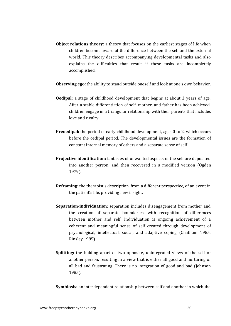**Object relations theory:** a theory that focuses on the earliest stages of life when children become aware of the difference between the self and the external world. This theory describes accompanying developmental tasks and also explains the difficulties that result if these tasks are incompletely accomplished.

**Observing ego:** the ability to stand outside oneself and look at one's own behavior.

- **Oedipal:** a stage of childhood development that begins at about 3 years of age. After a stable differentiation of self, mother, and father has been achieved, children engage in a triangular relationship with their parents that includes love and rivalry.
- **Preoedipal:** the period of early childhood development, ages 0 to 2, which occurs before the oedipal period. The developmental issues are the formation of constant internal memory of others and a separate sense of self.
- **Projective identification:** fantasies of unwanted aspects of the self are deposited into another person, and then recovered in a modified version (Ogden 1979).
- **Reframing:** the therapist's description, from a different perspective, of an event in the patient's life, providing new insight.
- **Separation-individuation:** separation includes disengagement from mother and the creation of separate boundaries, with recognition of differences between mother and self. Individuation is ongoing achievement of a coherent and meaningful sense of self created through development of psychological, intellectual, social, and adaptive coping (Chatham 1985, Rinsley 1985).
- **Splitting:** the holding apart of two opposite, unintegrated views of the self or another person, resulting in a view that is either all good and nurturing or all bad and frustrating. There is no integration of good and bad (Johnson 1985).

**Symbiosis:** an interdependent relationship between self and another in which the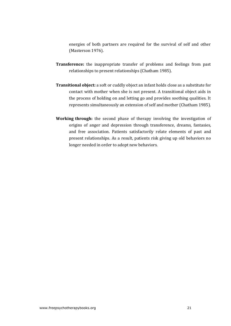energies of both partners are required for the survival of self and other (Masterson 1976).

- **Transference:** the inappropriate transfer of problems and feelings from past relationships to present relationships (Chatham 1985).
- **Transitional object:** a soft or cuddly object an infant holds close as a substitute for contact with mother when she is not present. A transitional object aids in the process of holding on and letting go and provides soothing qualities. It represents simultaneously an extension of self and mother (Chatham 1985).
- **Working through:** the second phase of therapy involving the investigation of origins of anger and depression through transference, dreams, fantasies, and free association. Patients satisfactorily relate elements of nast and present relationships. As a result, patients risk giving up old behaviors no longer needed in order to adopt new behaviors.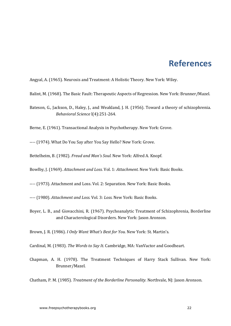# **References**

<span id="page-21-0"></span>Angyal, A. (1965). Neurosis and Treatment: A Holistic Theory. New York: Wiley.

- Balint, M. (1968). The Basic Fault: Therapeutic Aspects of Regression. New York: Brunner/Mazel.
- Bateson, G., Jackson, D., Haley, J., and Weakland, J. H. (1956). Toward a theory of schizophrenia. *Behavioral Science* l(4):251-264.

Berne, E. (1961). Transactional Analysis in Psychotherapy. New York: Grove.

---- (1974). What Do You Say after You Say Hello? New York: Grove.

Bettelheim, B. (1982). *Freud and Man's Soul.* New York: Alfred A. Knopf.

Bowlby, I. (1969). *Attachment and Loss.* Vol. 1: *Attachment.* New York: Basic Books.

---- (1973). Attachment and Loss. Vol. 2: Separation. New York: Basic Books.

---- (1980). *Attachment and Loss.* Vol. 3: *Loss.* New York: Basic Books.

Boyer, L. B., and Giovacchini, R. (1967). Psychoanalytic Treatment of Schizophrenia, Borderline and Characterological Disorders. New York: Jason Aronson.

Brown, J. R. (1986). *I Only Want What's Best for You.* New York: St. Martin's.

Cardinal, M. (1983). *The Words to Say It.* Cambridge, MA: VanVactor and Goodheart.

Chapman, A. H. (1978). The Treatment Techniques of Harry Stack Sullivan. New York: Brunner/Mazel.

Chatham, P. M. (1985). *Treatment of the Borderline Personality.* Northvale, NJ: Jason Aronson.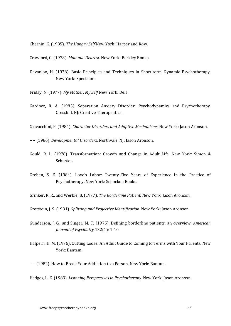Chernin, K. (1985). *The Hungry Self* New York: Harper and Row.

Crawford, C. (1978). Mommie Dearest. New York: Berkley Books.

- Davanloo, H. (1978). Basic Principles and Techniques in Short-term Dynamic Psychotherapy. New York: Spectrum.
- Friday, N. (1977). *My Mother, My Self* New York: Dell.
- Gardner, R. A. (1985). Separation Anxiety Disorder: Psychodynamics and Psychotherapy. Cresskill, NJ: Creative Therapeutics.

Giovacchini, P. (1984). *Character Disorders and Adaptive Mechanisms*. New York: Jason Aronson.

---- (1986). *Developmental Disorders.* Northvale, NJ: Jason Aronson.

- Gould, R. L. (1978). Transformation: Growth and Change in Adult Life. New York: Simon & Schuster.
- Greben, S. E. (1984). Love's Labor: Twenty-Five Years of Experience in the Practice of Psychotherapy. New York: Schocken Books.

Grinker, R. R., and Werble, B. (1977). *The Borderline Patient*. New York: Jason Aronson.

Grotstein, J. S. (1981). *Splitting and Projective Identification*. New York: Jason Aronson.

- Gunderson, J. G., and Singer, M. T. (1975). Defining borderline patients: an overview. *American Journal of Psychiatry* 132(1): 1-10.
- Halpern, H. M. (1976). Cutting Loose: An Adult Guide to Coming to Terms with Your Parents. New York: Bantam.

---- (1982). How to Break Your Addiction to a Person. New York: Bantam.

Hedges, L. E. (1983). *Listening Perspectives in Psychotherapy*. New York: Jason Aronson.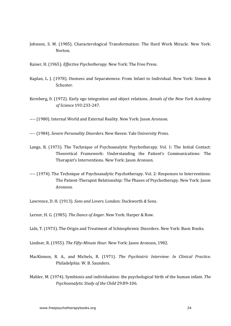Johnson, S. M. (1985). Characterological Transformation: The Hard Work Miracle. New York: Norton.

Kaiser, H. (1965). *Effective Psychotherapy*. New York: The Free Press.

- Kaplan, L. J. (1978). Oneness and Separateness: From Infant to Individual. New York: Simon & Schuster.
- Kernberg, 0. (1972). Early ego integration and object relations. *Annals of the New York Academy of Science* 193:233-247.

---- (1980). Internal World and External Reality. New York: Jason Aronson.

---- (1984). *Severe Personality Disorders.* New Haven: Yale University Press.

- Langs, R. (1973). The Technique of Psychoanalytic Psychotherapy. Vol. 1: The Initial Contact: Theoretical Framework: Understanding the Patient's Communications: The Therapist's Interventions. New York: Jason Aronson.
- ---- (1974). The Technique of Psychoanalytic Psychotherapy. Vol. 2: Responses to Interventions: The Patient-Therapist Relationship: The Phases of Psychotherapy. New York: Jason Aronson.

Lawrence, D. H. (1913). *Sons and Lovers.* London: Duckworth & Sons.

Lerner, H. G. (1985). *The Dance of Anger.* New York: Harper & Row.

Lidz, T. (1973). The Origin and Treatment of Schizophrenic Disorders. New York: Basic Books.

Lindner, R. (1955). *The Fifty-Minute Hour.* New York: Jason Aronson, 1982.

- MacKinnon, R. A., and Michels, R. (1971). *The Psychiatric Interview: In Clinical Practice.* Philadelphia: W. B. Saunders.
- Mahler, M. (1974). Symbiosis and individuation: the psychological birth of the human infant. The Psychoanalytic Study of the Child 29:89-106.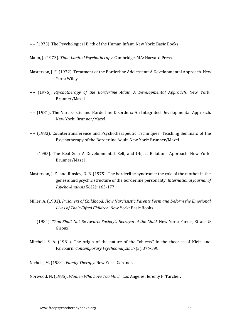---- (1975). The Psychological Birth of the Human Infant. New York: Basic Books.

Mann, J. (1973). *Time-Limited Psychotherapy.* Cambridge, MA: Harvard Press.

- Masterson, J. F. (1972). Treatment of the Borderline Adolescent: A Developmental Approach. New York: Wiley.
- ---- (1976). *Psychotherapy of the Borderline Adult: A Developmental Approach.* New York: Brunner/Mazel.
- ---- (1981). The Narcissistic and Borderline Disorders: An Integrated Developmental Approach. New York: Brunner/Mazel.
- ---- (1983). Countertransference and Psychotherapeutic Techniques: Teaching Seminars of the Psychotherapy of the Borderline Adult. New York: Brunner/Mazel.
- ---- (1985). The Real Self: A Developmental, Self, and Object Relations Approach. New York: Brunner/Mazel.
- Masterson, J. F., and Rinsley, D. B. (1975). The borderline syndrome: the role of the mother in the genesis and psychic structure of the borderline personality. *International lournal of Psycho-Analysis* 56(2): 163-177.
- Miller, A. (1981). *Prisoners of Childhood: How Narcissistic Parents Form and Deform the Emotional* Lives of Their Gifted Children. New York: Basic Books.
- ---- (1984). *Thou Shalt Not Be Aware: Society's Betrayal of the Child.* New York: Farrar, Straus & Giroux.
- Mitchell, S. A. (1981). The origin of the nature of the "objects" in the theories of Klein and Fairbairn. *Contemporary Psychoanalysis* 17(3):374-398.

Nichols, M. (1984). *Family Therapy.* New York: Gardner.

Norwood, N. (1985). Women Who Love Too Much. Los Angeles: Jeremy P. Tarcher.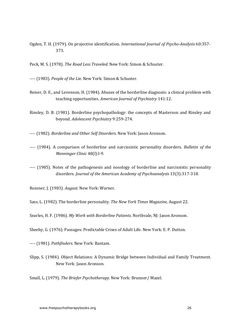Ogden, T. H. (1979). On projective identification. *International Journal of Psycho-Analysis* 60:357-373.

Peck, M. S. (1978). *The Road Less Traveled.* New York: Simon & Schuster.

---- (1983). People of the Lie. New York: Simon & Schuster.

- Reiser, D. E., and Levenson, H. (1984). Abuses of the borderline diagnosis: a clinical problem with teaching opportunities. American Journal of Psychiatry 141:12.
- Rinsley, D. B. (1981). Borderline psychopathology: the concepts of Masterson and Rinsley and beyond. *Adolescent Psychiatry* 9:259-274.

---- (1982). *Borderline and Other Self Disorders.* New York: Jason Aronson.

- ---- (1984). A comparison of borderline and narcissistic personality disorders. *Bulletin of the Menninger Clinic* 48(l):l-9.
- ---- (1985). Notes of the pathogenesis and nosology of borderline and narcissistic personality disorders. *Journal of the American Academy of Psychoanalysis* 13(3):317-318.

Rossner, J. (1983). *August.* New York: Warner.

Sass, L. (1982). The borderline personality. *The New York Times Magazine*, August 22.

Searles, H. F. (1986). My Work with Borderline Patients. Northvale, NJ: Jason Aronson.

Sheehy, G. (1976). Passages: Predictable Crises of Adult Life. New York: E. P. Dutton.

---- (1981). *Pathfinders*. New York: Bantam.

Slipp, S. (1984). Object Relations: A Dynamic Bridge between Individual and Family Treatment. New York: Jason Aronson.

Small, L. (1979). The Briefer Psychotherapy. New York: Brunner/ Mazel.